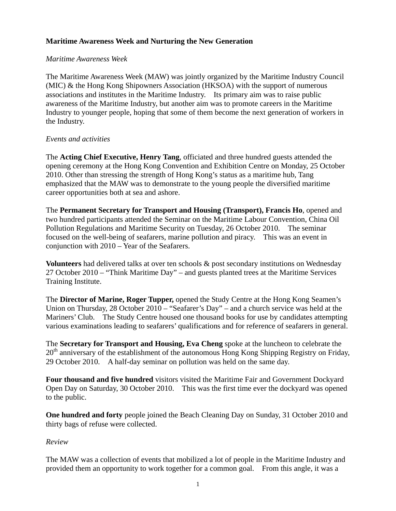# **Maritime Awareness Week and Nurturing the New Generation**

### *Maritime Awareness Week*

The Maritime Awareness Week (MAW) was jointly organized by the Maritime Industry Council (MIC) & the Hong Kong Shipowners Association (HKSOA) with the support of numerous associations and institutes in the Maritime Industry. Its primary aim was to raise public awareness of the Maritime Industry, but another aim was to promote careers in the Maritime Industry to younger people, hoping that some of them become the next generation of workers in the Industry.

## *Events and activities*

The **Acting Chief Executive, Henry Tang**, officiated and three hundred guests attended the opening ceremony at the Hong Kong Convention and Exhibition Centre on Monday, 25 October 2010. Other than stressing the strength of Hong Kong's status as a maritime hub, Tang emphasized that the MAW was to demonstrate to the young people the diversified maritime career opportunities both at sea and ashore.

The **Permanent Secretary for Transport and Housing (Transport), Francis Ho**, opened and two hundred participants attended the Seminar on the Maritime Labour Convention, China Oil Pollution Regulations and Maritime Security on Tuesday, 26 October 2010. The seminar focused on the well-being of seafarers, marine pollution and piracy. This was an event in conjunction with 2010 – Year of the Seafarers.

**Volunteers** had delivered talks at over ten schools & post secondary institutions on Wednesday 27 October 2010 – "Think Maritime Day" – and guests planted trees at the Maritime Services Training Institute.

The **Director of Marine, Roger Tupper,** opened the Study Centre at the Hong Kong Seamen's Union on Thursday, 28 October 2010 – "Seafarer's Day" – and a church service was held at the Mariners' Club. The Study Centre housed one thousand books for use by candidates attempting various examinations leading to seafarers' qualifications and for reference of seafarers in general.

The **Secretary for Transport and Housing, Eva Cheng** spoke at the luncheon to celebrate the  $20<sup>th</sup>$  anniversary of the establishment of the autonomous Hong Kong Shipping Registry on Friday, 29 October 2010. A half-day seminar on pollution was held on the same day.

**Four thousand and five hundred** visitors visited the Maritime Fair and Government Dockyard Open Day on Saturday, 30 October 2010. This was the first time ever the dockyard was opened to the public.

**One hundred and forty** people joined the Beach Cleaning Day on Sunday, 31 October 2010 and thirty bags of refuse were collected.

## *Review*

The MAW was a collection of events that mobilized a lot of people in the Maritime Industry and provided them an opportunity to work together for a common goal. From this angle, it was a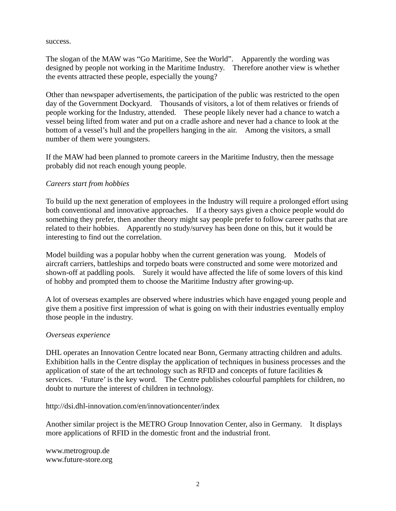success.

The slogan of the MAW was "Go Maritime, See the World". Apparently the wording was designed by people not working in the Maritime Industry. Therefore another view is whether the events attracted these people, especially the young?

Other than newspaper advertisements, the participation of the public was restricted to the open day of the Government Dockyard. Thousands of visitors, a lot of them relatives or friends of people working for the Industry, attended. These people likely never had a chance to watch a vessel being lifted from water and put on a cradle ashore and never had a chance to look at the bottom of a vessel's hull and the propellers hanging in the air. Among the visitors, a small number of them were youngsters.

If the MAW had been planned to promote careers in the Maritime Industry, then the message probably did not reach enough young people.

### *Careers start from hobbies*

To build up the next generation of employees in the Industry will require a prolonged effort using both conventional and innovative approaches. If a theory says given a choice people would do something they prefer, then another theory might say people prefer to follow career paths that are related to their hobbies. Apparently no study/survey has been done on this, but it would be interesting to find out the correlation.

Model building was a popular hobby when the current generation was young. Models of aircraft carriers, battleships and torpedo boats were constructed and some were motorized and shown-off at paddling pools. Surely it would have affected the life of some lovers of this kind of hobby and prompted them to choose the Maritime Industry after growing-up.

A lot of overseas examples are observed where industries which have engaged young people and give them a positive first impression of what is going on with their industries eventually employ those people in the industry.

#### *Overseas experience*

DHL operates an Innovation Centre located near Bonn, Germany attracting children and adults. Exhibition halls in the Centre display the application of techniques in business processes and the application of state of the art technology such as RFID and concepts of future facilities & services. 'Future' is the key word. The Centre publishes colourful pamphlets for children, no doubt to nurture the interest of children in technology.

http://dsi.dhl-innovation.com/en/innovationcenter/index

Another similar project is the METRO Group Innovation Center, also in Germany. It displays more applications of RFID in the domestic front and the industrial front.

www.metrogroup.de www.future-store.org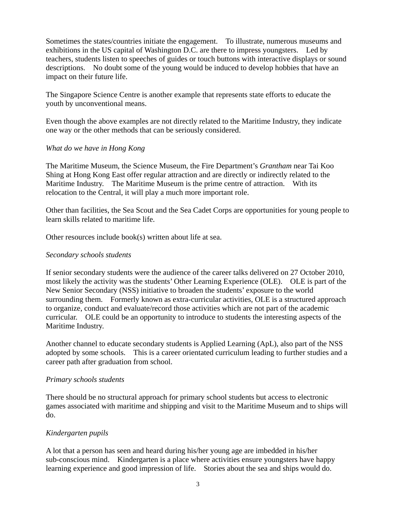Sometimes the states/countries initiate the engagement. To illustrate, numerous museums and exhibitions in the US capital of Washington D.C. are there to impress youngsters. Led by teachers, students listen to speeches of guides or touch buttons with interactive displays or sound descriptions. No doubt some of the young would be induced to develop hobbies that have an impact on their future life.

The Singapore Science Centre is another example that represents state efforts to educate the youth by unconventional means.

Even though the above examples are not directly related to the Maritime Industry, they indicate one way or the other methods that can be seriously considered.

### *What do we have in Hong Kong*

The Maritime Museum, the Science Museum, the Fire Department's *Grantham* near Tai Koo Shing at Hong Kong East offer regular attraction and are directly or indirectly related to the Maritime Industry. The Maritime Museum is the prime centre of attraction. With its relocation to the Central, it will play a much more important role.

Other than facilities, the Sea Scout and the Sea Cadet Corps are opportunities for young people to learn skills related to maritime life.

Other resources include book(s) written about life at sea.

### *Secondary schools students*

If senior secondary students were the audience of the career talks delivered on 27 October 2010, most likely the activity was the students' Other Learning Experience (OLE). OLE is part of the New Senior Secondary (NSS) initiative to broaden the students' exposure to the world surrounding them. Formerly known as extra-curricular activities, OLE is a structured approach to organize, conduct and evaluate/record those activities which are not part of the academic curricular. OLE could be an opportunity to introduce to students the interesting aspects of the Maritime Industry.

Another channel to educate secondary students is Applied Learning (ApL), also part of the NSS adopted by some schools. This is a career orientated curriculum leading to further studies and a career path after graduation from school.

#### *Primary schools students*

There should be no structural approach for primary school students but access to electronic games associated with maritime and shipping and visit to the Maritime Museum and to ships will do.

## *Kindergarten pupils*

A lot that a person has seen and heard during his/her young age are imbedded in his/her sub-conscious mind. Kindergarten is a place where activities ensure youngsters have happy learning experience and good impression of life. Stories about the sea and ships would do.